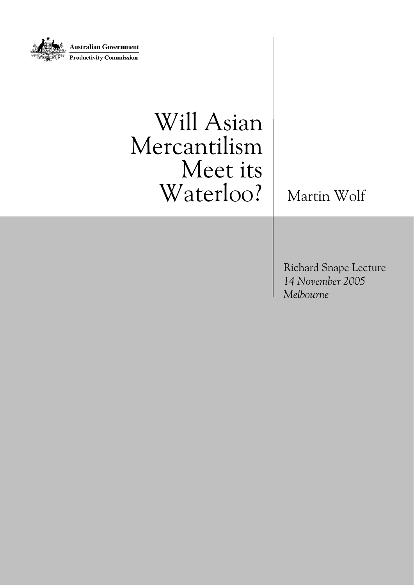

# Will Asian Mercantilism Meet its Waterloo? | Martin Wolf

Richard Snape Lecture *14 November 2005 Melbourne*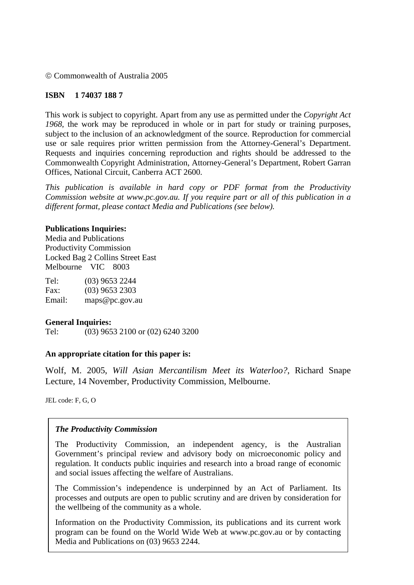© Commonwealth of Australia 2005

#### **ISBN 1 74037 188 7**

This work is subject to copyright. Apart from any use as permitted under the *Copyright Act 1968*, the work may be reproduced in whole or in part for study or training purposes, subject to the inclusion of an acknowledgment of the source. Reproduction for commercial use or sale requires prior written permission from the Attorney-General's Department. Requests and inquiries concerning reproduction and rights should be addressed to the Commonwealth Copyright Administration, Attorney-General's Department, Robert Garran Offices, National Circuit, Canberra ACT 2600.

*This publication is available in hard copy or PDF format from the Productivity Commission website at www.pc.gov.au. If you require part or all of this publication in a different format, please contact Media and Publications (see below).* 

#### **Publications Inquiries:**

Media and Publications Productivity Commission Locked Bag 2 Collins Street East Melbourne VIC 8003

Tel: (03) 9653 2244 Fax: (03) 9653 2303 Email: maps@pc.gov.au

#### **General Inquiries:**

Tel: (03) 9653 2100 or (02) 6240 3200

#### **An appropriate citation for this paper is:**

Wolf, M. 2005, *Will Asian Mercantilism Meet its Waterloo?*, Richard Snape Lecture, 14 November, Productivity Commission, Melbourne.

JEL code: F, G, O

#### *The Productivity Commission*

The Productivity Commission, an independent agency, is the Australian Government's principal review and advisory body on microeconomic policy and regulation. It conducts public inquiries and research into a broad range of economic and social issues affecting the welfare of Australians.

The Commission's independence is underpinned by an Act of Parliament. Its processes and outputs are open to public scrutiny and are driven by consideration for the wellbeing of the community as a whole.

Information on the Productivity Commission, its publications and its current work program can be found on the World Wide Web at www.pc.gov.au or by contacting Media and Publications on (03) 9653 2244.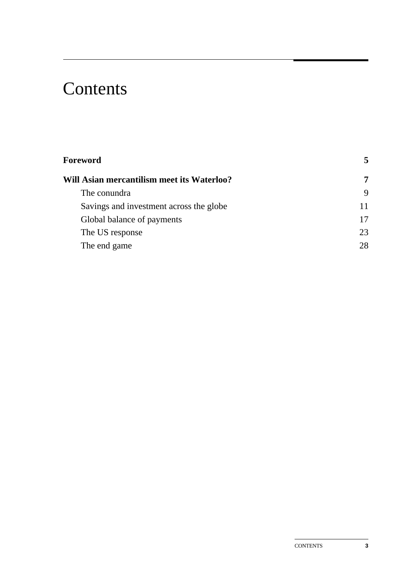# **Contents**

| <b>Foreword</b>                            | 5  |
|--------------------------------------------|----|
| Will Asian mercantilism meet its Waterloo? | 7  |
| The conundra                               | 9  |
| Savings and investment across the globe    | 11 |
| Global balance of payments                 | 17 |
| The US response                            | 23 |
| The end game                               | 28 |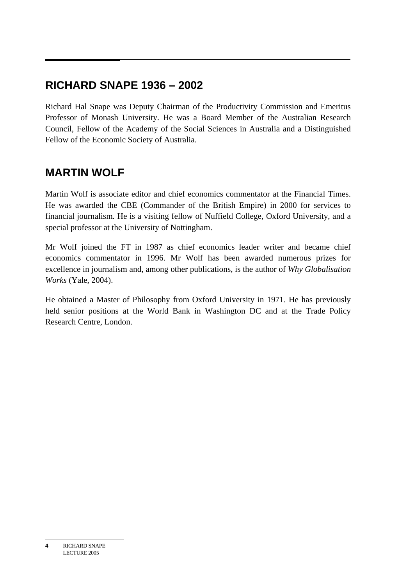# **RICHARD SNAPE 1936 – 2002**

Richard Hal Snape was Deputy Chairman of the Productivity Commission and Emeritus Professor of Monash University. He was a Board Member of the Australian Research Council, Fellow of the Academy of the Social Sciences in Australia and a Distinguished Fellow of the Economic Society of Australia.

# **MARTIN WOLF**

Martin Wolf is associate editor and chief economics commentator at the Financial Times. He was awarded the CBE (Commander of the British Empire) in 2000 for services to financial journalism. He is a visiting fellow of Nuffield College, Oxford University, and a special professor at the University of Nottingham.

Mr Wolf joined the FT in 1987 as chief economics leader writer and became chief economics commentator in 1996. Mr Wolf has been awarded numerous prizes for excellence in journalism and, among other publications, is the author of *Why Globalisation Works* (Yale, 2004).

He obtained a Master of Philosophy from Oxford University in 1971. He has previously held senior positions at the World Bank in Washington DC and at the Trade Policy Research Centre, London.

**<sup>4</sup>** RICHARD SNAPE LECTURE 2005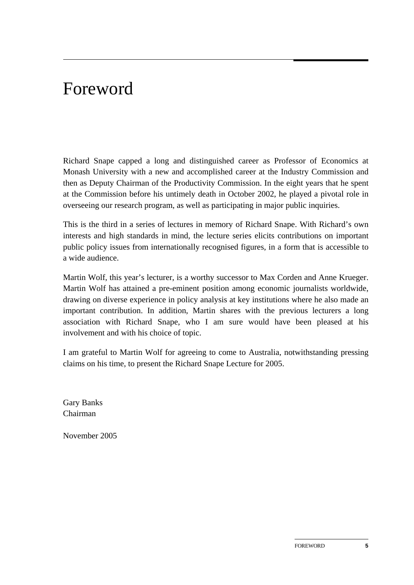# Foreword

Richard Snape capped a long and distinguished career as Professor of Economics at Monash University with a new and accomplished career at the Industry Commission and then as Deputy Chairman of the Productivity Commission. In the eight years that he spent at the Commission before his untimely death in October 2002, he played a pivotal role in overseeing our research program, as well as participating in major public inquiries.

This is the third in a series of lectures in memory of Richard Snape. With Richard's own interests and high standards in mind, the lecture series elicits contributions on important public policy issues from internationally recognised figures, in a form that is accessible to a wide audience.

Martin Wolf, this year's lecturer, is a worthy successor to Max Corden and Anne Krueger. Martin Wolf has attained a pre-eminent position among economic journalists worldwide, drawing on diverse experience in policy analysis at key institutions where he also made an important contribution. In addition, Martin shares with the previous lecturers a long association with Richard Snape, who I am sure would have been pleased at his involvement and with his choice of topic.

I am grateful to Martin Wolf for agreeing to come to Australia, notwithstanding pressing claims on his time, to present the Richard Snape Lecture for 2005.

Gary Banks Chairman

November 2005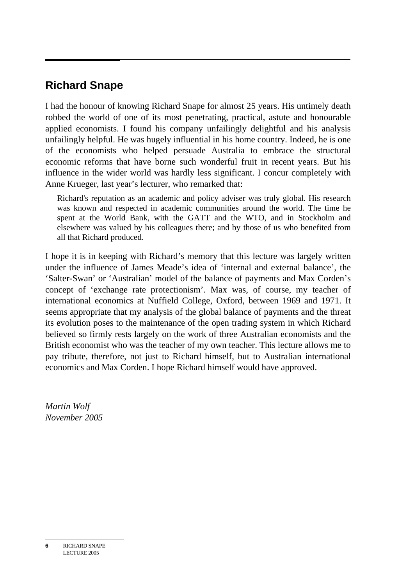# **Richard Snape**

I had the honour of knowing Richard Snape for almost 25 years. His untimely death robbed the world of one of its most penetrating, practical, astute and honourable applied economists. I found his company unfailingly delightful and his analysis unfailingly helpful. He was hugely influential in his home country. Indeed, he is one of the economists who helped persuade Australia to embrace the structural economic reforms that have borne such wonderful fruit in recent years. But his influence in the wider world was hardly less significant. I concur completely with Anne Krueger, last year's lecturer, who remarked that:

Richard's reputation as an academic and policy adviser was truly global. His research was known and respected in academic communities around the world. The time he spent at the World Bank, with the GATT and the WTO, and in Stockholm and elsewhere was valued by his colleagues there; and by those of us who benefited from all that Richard produced.

I hope it is in keeping with Richard's memory that this lecture was largely written under the influence of James Meade's idea of 'internal and external balance', the 'Salter-Swan' or 'Australian' model of the balance of payments and Max Corden's concept of 'exchange rate protectionism'. Max was, of course, my teacher of international economics at Nuffield College, Oxford, between 1969 and 1971. It seems appropriate that my analysis of the global balance of payments and the threat its evolution poses to the maintenance of the open trading system in which Richard believed so firmly rests largely on the work of three Australian economists and the British economist who was the teacher of my own teacher. This lecture allows me to pay tribute, therefore, not just to Richard himself, but to Australian international economics and Max Corden. I hope Richard himself would have approved.

*Martin Wolf November 2005*

**6** RICHARD SNAPE LECTURE 2005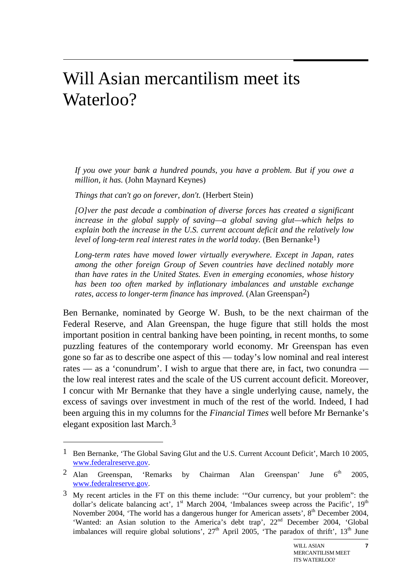# Will Asian mercantilism meet its Waterloo?

*If you owe your bank a hundred pounds, you have a problem. But if you owe a million, it has.* (John Maynard Keynes)

*Things that can't go on forever, don't.* (Herbert Stein)

 $\overline{a}$ 

*[O]ver the past decade a combination of diverse forces has created a significant increase in the global supply of saving—a global saving glut—which helps to explain both the increase in the U.S. current account deficit and the relatively low level of long-term real interest rates in the world today.* (Ben Bernanke<sup>1</sup>)

*Long-term rates have moved lower virtually everywhere. Except in Japan, rates among the other foreign Group of Seven countries have declined notably more than have rates in the United States. Even in emerging economies, whose history has been too often marked by inflationary imbalances and unstable exchange rates, access to longer-term finance has improved.* (Alan Greenspan<sup>2</sup>)

Ben Bernanke, nominated by George W. Bush, to be the next chairman of the Federal Reserve, and Alan Greenspan, the huge figure that still holds the most important position in central banking have been pointing, in recent months, to some puzzling features of the contemporary world economy. Mr Greenspan has even gone so far as to describe one aspect of this — today's low nominal and real interest rates — as a 'conundrum'. I wish to argue that there are, in fact, two conundra the low real interest rates and the scale of the US current account deficit. Moreover, I concur with Mr Bernanke that they have a single underlying cause, namely, the excess of savings over investment in much of the rest of the world. Indeed, I had been arguing this in my columns for the *Financial Times* well before Mr Bernanke's elegant exposition last March.3

**7**

<sup>&</sup>lt;sup>1</sup> Ben Bernanke, 'The Global Saving Glut and the U.S. Current Account Deficit', March 10 2005, www.federalreserve.gov.

<sup>&</sup>lt;sup>2</sup> Alan Greenspan, 'Remarks by Chairman Alan Greenspan' June  $6<sup>th</sup>$  2005, www.federalreserve.gov.

 $3$  My recent articles in the FT on this theme include: "Our currency, but your problem": the dollar's delicate balancing act',  $1<sup>st</sup>$  March 2004, 'Imbalances sweep across the Pacific',  $19<sup>th</sup>$ November 2004, 'The world has a dangerous hunger for American assets', 8<sup>th</sup> December 2004, 'Wanted: an Asian solution to the America's debt trap', 22nd December 2004, 'Global imbalances will require global solutions',  $27<sup>th</sup>$  April 2005, 'The paradox of thrift',  $13<sup>th</sup>$  June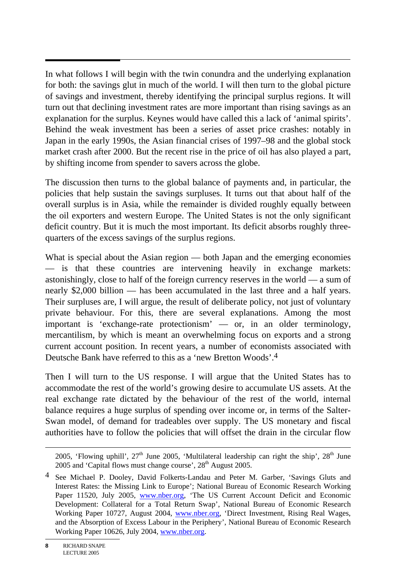$\overline{a}$ In what follows I will begin with the twin conundra and the underlying explanation for both: the savings glut in much of the world. I will then turn to the global picture of savings and investment, thereby identifying the principal surplus regions. It will turn out that declining investment rates are more important than rising savings as an explanation for the surplus. Keynes would have called this a lack of 'animal spirits'. Behind the weak investment has been a series of asset price crashes: notably in Japan in the early 1990s, the Asian financial crises of 1997–98 and the global stock market crash after 2000. But the recent rise in the price of oil has also played a part, by shifting income from spender to savers across the globe.

The discussion then turns to the global balance of payments and, in particular, the policies that help sustain the savings surpluses. It turns out that about half of the overall surplus is in Asia, while the remainder is divided roughly equally between the oil exporters and western Europe. The United States is not the only significant deficit country. But it is much the most important. Its deficit absorbs roughly threequarters of the excess savings of the surplus regions.

What is special about the Asian region — both Japan and the emerging economies — is that these countries are intervening heavily in exchange markets: astonishingly, close to half of the foreign currency reserves in the world — a sum of nearly \$2,000 billion — has been accumulated in the last three and a half years. Their surpluses are, I will argue, the result of deliberate policy, not just of voluntary private behaviour. For this, there are several explanations. Among the most important is 'exchange-rate protectionism' — or, in an older terminology, mercantilism, by which is meant an overwhelming focus on exports and a strong current account position. In recent years, a number of economists associated with Deutsche Bank have referred to this as a 'new Bretton Woods'.4

Then I will turn to the US response. I will argue that the United States has to accommodate the rest of the world's growing desire to accumulate US assets. At the real exchange rate dictated by the behaviour of the rest of the world, internal balance requires a huge surplus of spending over income or, in terms of the Salter-Swan model, of demand for tradeables over supply. The US monetary and fiscal authorities have to follow the policies that will offset the drain in the circular flow

 $\overline{a}$ 

<sup>2005, &#</sup>x27;Flowing uphill',  $27<sup>th</sup>$  June 2005, 'Multilateral leadership can right the ship',  $28<sup>th</sup>$  June 2005 and 'Capital flows must change course',  $28<sup>th</sup>$  August 2005.

<sup>4</sup> See Michael P. Dooley, David Folkerts-Landau and Peter M. Garber, 'Savings Gluts and Interest Rates: the Missing Link to Europe'; National Bureau of Economic Research Working Paper 11520, July 2005, www.nber.org, 'The US Current Account Deficit and Economic Development: Collateral for a Total Return Swap', National Bureau of Economic Research Working Paper 10727, August 2004, www.nber.org, 'Direct Investment, Rising Real Wages, and the Absorption of Excess Labour in the Periphery', National Bureau of Economic Research Working Paper 10626, July 2004, www.nber.org.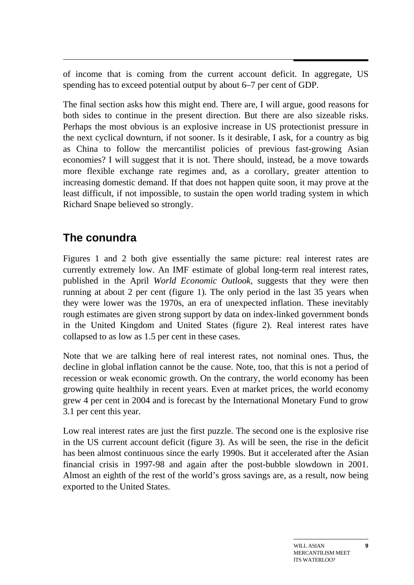of income that is coming from the current account deficit. In aggregate, US spending has to exceed potential output by about 6–7 per cent of GDP.

The final section asks how this might end. There are, I will argue, good reasons for both sides to continue in the present direction. But there are also sizeable risks. Perhaps the most obvious is an explosive increase in US protectionist pressure in the next cyclical downturn, if not sooner. Is it desirable, I ask, for a country as big as China to follow the mercantilist policies of previous fast-growing Asian economies? I will suggest that it is not. There should, instead, be a move towards more flexible exchange rate regimes and, as a corollary, greater attention to increasing domestic demand. If that does not happen quite soon, it may prove at the least difficult, if not impossible, to sustain the open world trading system in which Richard Snape believed so strongly.

# **The conundra**

Figures 1 and 2 both give essentially the same picture: real interest rates are currently extremely low. An IMF estimate of global long-term real interest rates, published in the April *World Economic Outlook*, suggests that they were then running at about 2 per cent (figure 1). The only period in the last 35 years when they were lower was the 1970s, an era of unexpected inflation. These inevitably rough estimates are given strong support by data on index-linked government bonds in the United Kingdom and United States (figure 2). Real interest rates have collapsed to as low as 1.5 per cent in these cases.

Note that we are talking here of real interest rates, not nominal ones. Thus, the decline in global inflation cannot be the cause. Note, too, that this is not a period of recession or weak economic growth. On the contrary, the world economy has been growing quite healthily in recent years. Even at market prices, the world economy grew 4 per cent in 2004 and is forecast by the International Monetary Fund to grow 3.1 per cent this year.

Low real interest rates are just the first puzzle. The second one is the explosive rise in the US current account deficit (figure 3). As will be seen, the rise in the deficit has been almost continuous since the early 1990s. But it accelerated after the Asian financial crisis in 1997-98 and again after the post-bubble slowdown in 2001. Almost an eighth of the rest of the world's gross savings are, as a result, now being exported to the United States.

**9**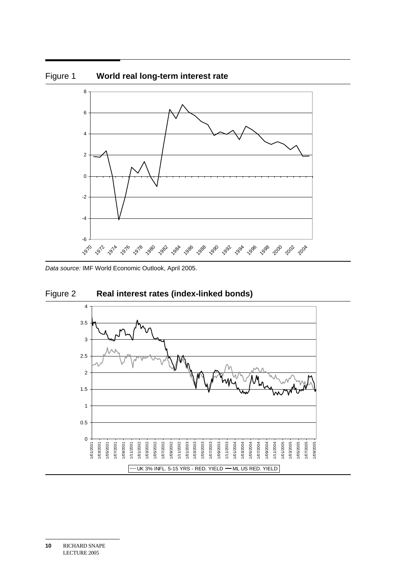

*Data source:* IMF World Economic Outlook, April 2005.



UK 3% INFL. 5-15 YRS - RED. YIELD - ML US RED. YIELD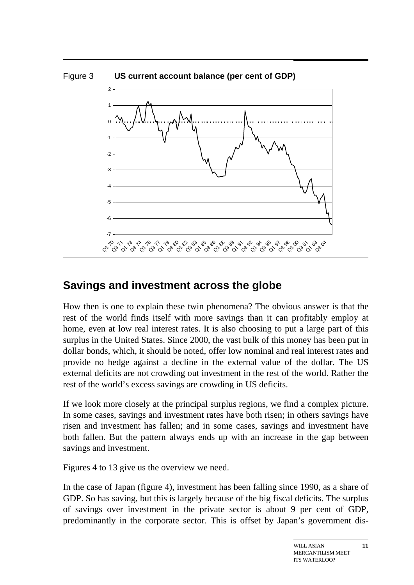

## **Savings and investment across the globe**

How then is one to explain these twin phenomena? The obvious answer is that the rest of the world finds itself with more savings than it can profitably employ at home, even at low real interest rates. It is also choosing to put a large part of this surplus in the United States. Since 2000, the vast bulk of this money has been put in dollar bonds, which, it should be noted, offer low nominal and real interest rates and provide no hedge against a decline in the external value of the dollar. The US external deficits are not crowding out investment in the rest of the world. Rather the rest of the world's excess savings are crowding in US deficits.

If we look more closely at the principal surplus regions, we find a complex picture. In some cases, savings and investment rates have both risen; in others savings have risen and investment has fallen; and in some cases, savings and investment have both fallen. But the pattern always ends up with an increase in the gap between savings and investment.

Figures 4 to 13 give us the overview we need.

In the case of Japan (figure 4), investment has been falling since 1990, as a share of GDP. So has saving, but this is largely because of the big fiscal deficits. The surplus of savings over investment in the private sector is about 9 per cent of GDP, predominantly in the corporate sector. This is offset by Japan's government dis-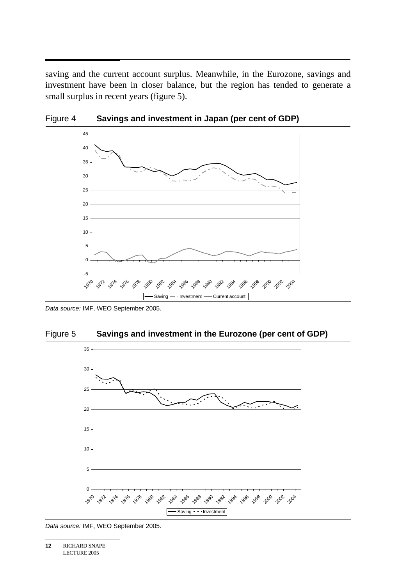saving and the current account surplus. Meanwhile, in the Eurozone, savings and investment have been in closer balance, but the region has tended to generate a small surplus in recent years (figure 5).





*Data source:* IMF, WEO September 2005.





*Data source:* IMF, WEO September 2005.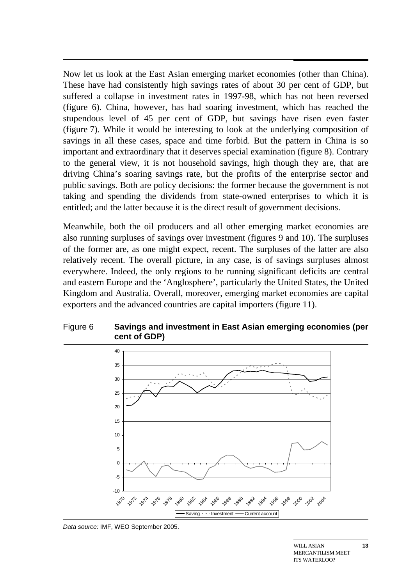$\overline{a}$ Now let us look at the East Asian emerging market economies (other than China). These have had consistently high savings rates of about 30 per cent of GDP, but suffered a collapse in investment rates in 1997-98, which has not been reversed (figure 6). China, however, has had soaring investment, which has reached the stupendous level of 45 per cent of GDP, but savings have risen even faster (figure 7). While it would be interesting to look at the underlying composition of savings in all these cases, space and time forbid. But the pattern in China is so important and extraordinary that it deserves special examination (figure 8). Contrary to the general view, it is not household savings, high though they are, that are driving China's soaring savings rate, but the profits of the enterprise sector and public savings. Both are policy decisions: the former because the government is not taking and spending the dividends from state-owned enterprises to which it is entitled; and the latter because it is the direct result of government decisions.

Meanwhile, both the oil producers and all other emerging market economies are also running surpluses of savings over investment (figures 9 and 10). The surpluses of the former are, as one might expect, recent. The surpluses of the latter are also relatively recent. The overall picture, in any case, is of savings surpluses almost everywhere. Indeed, the only regions to be running significant deficits are central and eastern Europe and the 'Anglosphere', particularly the United States, the United Kingdom and Australia. Overall, moreover, emerging market economies are capital exporters and the advanced countries are capital importers (figure 11).

### Figure 6 **Savings and investment in East Asian emerging economies (per cent of GDP)**



*Data source:* IMF, WEO September 2005.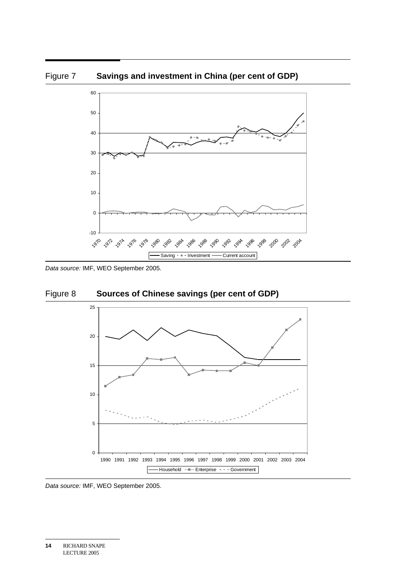

Figure 7 **Savings and investment in China (per cent of GDP)** 

*Data source:* IMF, WEO September 2005.





*Data source:* IMF, WEO September 2005.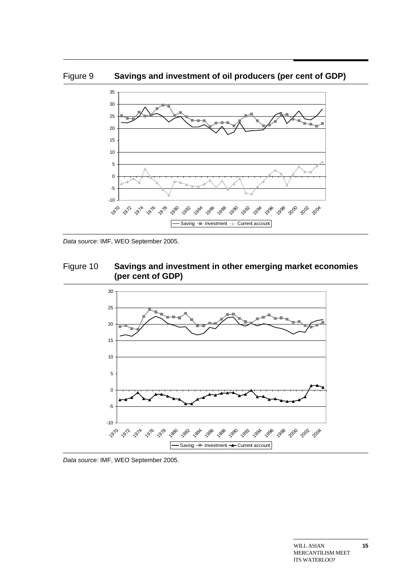



*Data source:* IMF, WEO September 2005.





*Data source:* IMF, WEO September 2005.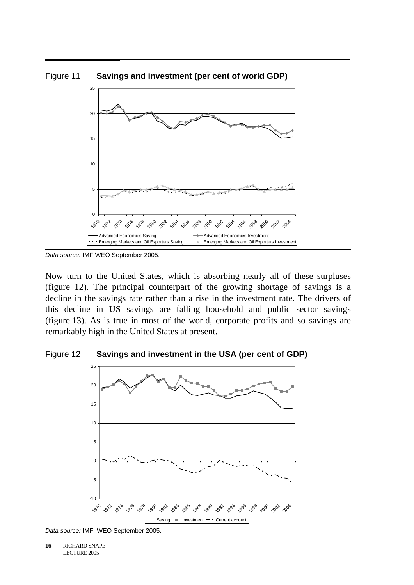

*Data source:* IMF WEO September 2005.

Now turn to the United States, which is absorbing nearly all of these surpluses (figure 12). The principal counterpart of the growing shortage of savings is a decline in the savings rate rather than a rise in the investment rate. The drivers of this decline in US savings are falling household and public sector savings (figure 13). As is true in most of the world, corporate profits and so savings are remarkably high in the United States at present.

#### Figure 12 **Savings and investment in the USA (per cent of GDP)**



*Data source:* IMF, WEO September 2005.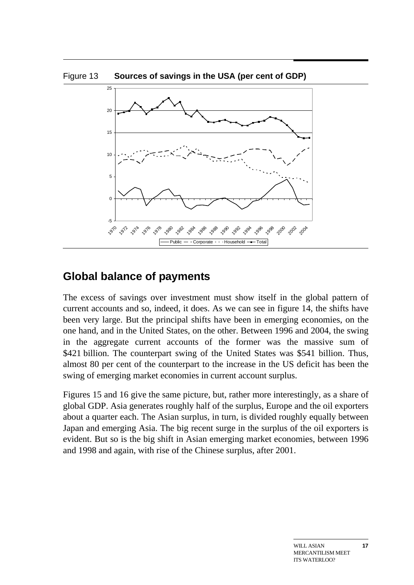

## **Global balance of payments**

The excess of savings over investment must show itself in the global pattern of current accounts and so, indeed, it does. As we can see in figure 14, the shifts have been very large. But the principal shifts have been in emerging economies, on the one hand, and in the United States, on the other. Between 1996 and 2004, the swing in the aggregate current accounts of the former was the massive sum of \$421 billion. The counterpart swing of the United States was \$541 billion. Thus, almost 80 per cent of the counterpart to the increase in the US deficit has been the swing of emerging market economies in current account surplus.

Figures 15 and 16 give the same picture, but, rather more interestingly, as a share of global GDP. Asia generates roughly half of the surplus, Europe and the oil exporters about a quarter each. The Asian surplus, in turn, is divided roughly equally between Japan and emerging Asia. The big recent surge in the surplus of the oil exporters is evident. But so is the big shift in Asian emerging market economies, between 1996 and 1998 and again, with rise of the Chinese surplus, after 2001.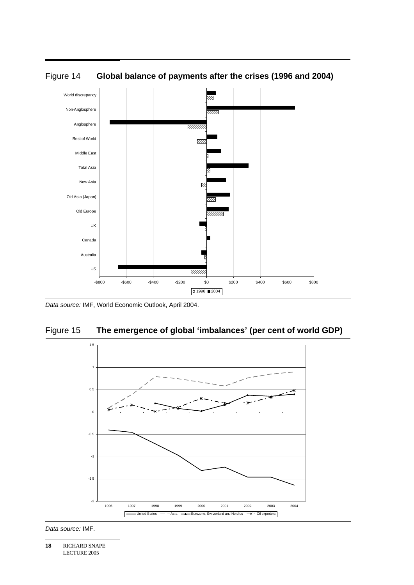



*Data source:* IMF, World Economic Outlook, April 2004.





*Data source:* IMF.

**18** RICHARD SNAPE LECTURE 2005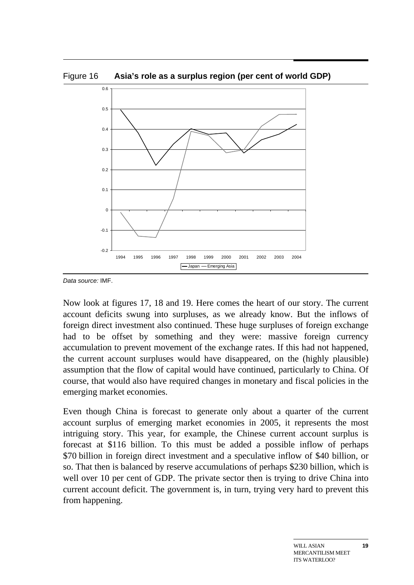Figure 16 **Asia's role as a surplus region (per cent of world GDP)** 



*Data source:* IMF.

Now look at figures 17, 18 and 19. Here comes the heart of our story. The current account deficits swung into surpluses, as we already know. But the inflows of foreign direct investment also continued. These huge surpluses of foreign exchange had to be offset by something and they were: massive foreign currency accumulation to prevent movement of the exchange rates. If this had not happened, the current account surpluses would have disappeared, on the (highly plausible) assumption that the flow of capital would have continued, particularly to China. Of course, that would also have required changes in monetary and fiscal policies in the emerging market economies.

Even though China is forecast to generate only about a quarter of the current account surplus of emerging market economies in 2005, it represents the most intriguing story. This year, for example, the Chinese current account surplus is forecast at \$116 billion. To this must be added a possible inflow of perhaps \$70 billion in foreign direct investment and a speculative inflow of \$40 billion, or so. That then is balanced by reserve accumulations of perhaps \$230 billion, which is well over 10 per cent of GDP. The private sector then is trying to drive China into current account deficit. The government is, in turn, trying very hard to prevent this from happening.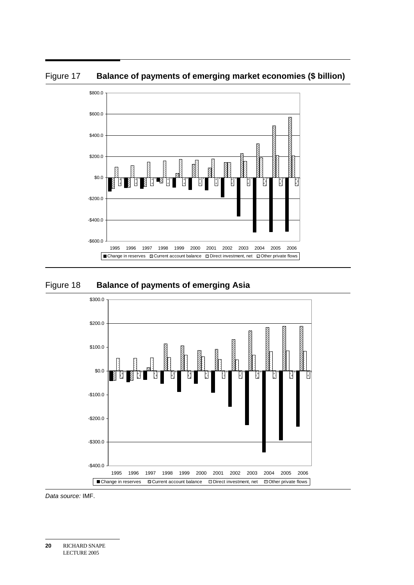Figure 17 Balance of payments of emerging market economies (\$ billion)



#### Figure 18 **Balance of payments of emerging Asia**



*Data source:* IMF.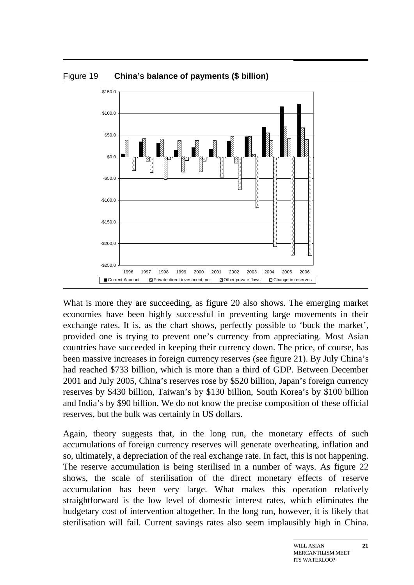Figure 19 **China's balance of payments (\$ billion)** 



What is more they are succeeding, as figure 20 also shows. The emerging market economies have been highly successful in preventing large movements in their exchange rates. It is, as the chart shows, perfectly possible to 'buck the market', provided one is trying to prevent one's currency from appreciating. Most Asian countries have succeeded in keeping their currency down. The price, of course, has been massive increases in foreign currency reserves (see figure 21). By July China's had reached \$733 billion, which is more than a third of GDP. Between December 2001 and July 2005, China's reserves rose by \$520 billion, Japan's foreign currency reserves by \$430 billion, Taiwan's by \$130 billion, South Korea's by \$100 billion and India's by \$90 billion. We do not know the precise composition of these official reserves, but the bulk was certainly in US dollars.

Again, theory suggests that, in the long run, the monetary effects of such accumulations of foreign currency reserves will generate overheating, inflation and so, ultimately, a depreciation of the real exchange rate. In fact, this is not happening. The reserve accumulation is being sterilised in a number of ways. As figure 22 shows, the scale of sterilisation of the direct monetary effects of reserve accumulation has been very large. What makes this operation relatively straightforward is the low level of domestic interest rates, which eliminates the budgetary cost of intervention altogether. In the long run, however, it is likely that sterilisation will fail. Current savings rates also seem implausibly high in China.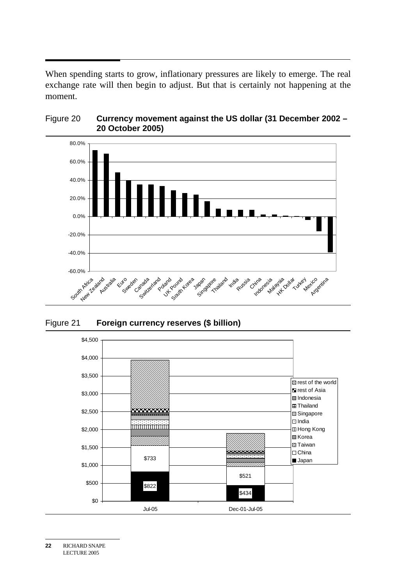$\overline{a}$ When spending starts to grow, inflationary pressures are likely to emerge. The real exchange rate will then begin to adjust. But that is certainly not happening at the moment.



### Figure 20 **Currency movement against the US dollar (31 December 2002 – 20 October 2005)**

Figure 21 **Foreign currency reserves (\$ billion)** 

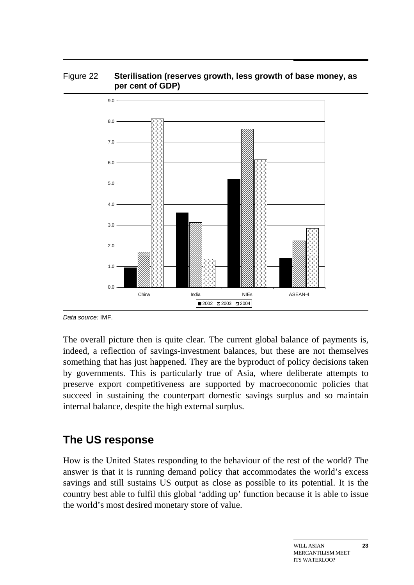#### Figure 22 **Sterilisation (reserves growth, less growth of base money, as per cent of GDP)**



*Data source:* IMF.

The overall picture then is quite clear. The current global balance of payments is, indeed, a reflection of savings-investment balances, but these are not themselves something that has just happened. They are the byproduct of policy decisions taken by governments. This is particularly true of Asia, where deliberate attempts to preserve export competitiveness are supported by macroeconomic policies that succeed in sustaining the counterpart domestic savings surplus and so maintain internal balance, despite the high external surplus.

## **The US response**

How is the United States responding to the behaviour of the rest of the world? The answer is that it is running demand policy that accommodates the world's excess savings and still sustains US output as close as possible to its potential. It is the country best able to fulfil this global 'adding up' function because it is able to issue the world's most desired monetary store of value.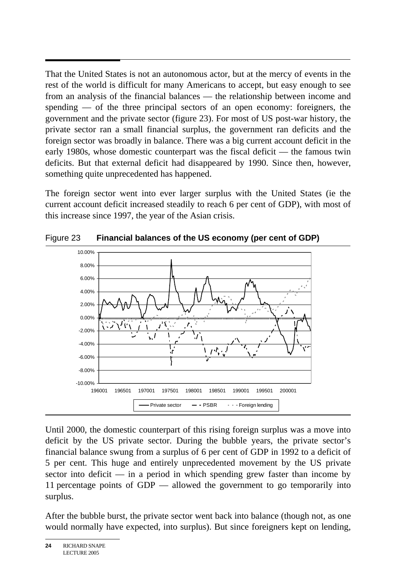$\overline{a}$ That the United States is not an autonomous actor, but at the mercy of events in the rest of the world is difficult for many Americans to accept, but easy enough to see from an analysis of the financial balances — the relationship between income and spending — of the three principal sectors of an open economy: foreigners, the government and the private sector (figure 23). For most of US post-war history, the private sector ran a small financial surplus, the government ran deficits and the foreign sector was broadly in balance. There was a big current account deficit in the early 1980s, whose domestic counterpart was the fiscal deficit — the famous twin deficits. But that external deficit had disappeared by 1990. Since then, however, something quite unprecedented has happened.

The foreign sector went into ever larger surplus with the United States (ie the current account deficit increased steadily to reach 6 per cent of GDP), with most of this increase since 1997, the year of the Asian crisis.



Figure 23 **Financial balances of the US economy (per cent of GDP)** 

Until 2000, the domestic counterpart of this rising foreign surplus was a move into deficit by the US private sector. During the bubble years, the private sector's financial balance swung from a surplus of 6 per cent of GDP in 1992 to a deficit of 5 per cent. This huge and entirely unprecedented movement by the US private sector into deficit — in a period in which spending grew faster than income by 11 percentage points of GDP — allowed the government to go temporarily into surplus.

After the bubble burst, the private sector went back into balance (though not, as one would normally have expected, into surplus). But since foreigners kept on lending,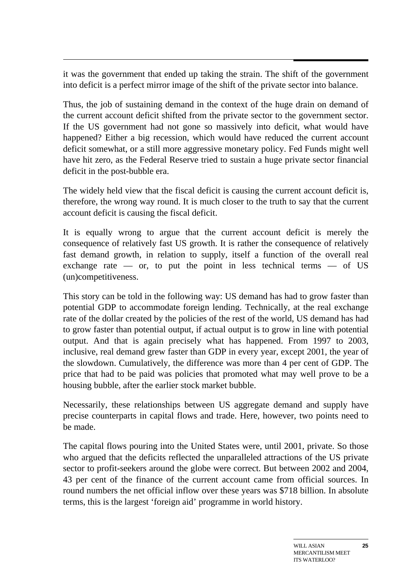$\ddot{\phantom{0}}$ it was the government that ended up taking the strain. The shift of the government into deficit is a perfect mirror image of the shift of the private sector into balance.

Thus, the job of sustaining demand in the context of the huge drain on demand of the current account deficit shifted from the private sector to the government sector. If the US government had not gone so massively into deficit, what would have happened? Either a big recession, which would have reduced the current account deficit somewhat, or a still more aggressive monetary policy. Fed Funds might well have hit zero, as the Federal Reserve tried to sustain a huge private sector financial deficit in the post-bubble era.

The widely held view that the fiscal deficit is causing the current account deficit is, therefore, the wrong way round. It is much closer to the truth to say that the current account deficit is causing the fiscal deficit.

It is equally wrong to argue that the current account deficit is merely the consequence of relatively fast US growth. It is rather the consequence of relatively fast demand growth, in relation to supply, itself a function of the overall real exchange rate  $-$  or, to put the point in less technical terms  $-$  of US (un)competitiveness.

This story can be told in the following way: US demand has had to grow faster than potential GDP to accommodate foreign lending. Technically, at the real exchange rate of the dollar created by the policies of the rest of the world, US demand has had to grow faster than potential output, if actual output is to grow in line with potential output. And that is again precisely what has happened. From 1997 to 2003, inclusive, real demand grew faster than GDP in every year, except 2001, the year of the slowdown. Cumulatively, the difference was more than 4 per cent of GDP. The price that had to be paid was policies that promoted what may well prove to be a housing bubble, after the earlier stock market bubble.

Necessarily, these relationships between US aggregate demand and supply have precise counterparts in capital flows and trade. Here, however, two points need to be made.

The capital flows pouring into the United States were, until 2001, private. So those who argued that the deficits reflected the unparalleled attractions of the US private sector to profit-seekers around the globe were correct. But between 2002 and 2004, 43 per cent of the finance of the current account came from official sources. In round numbers the net official inflow over these years was \$718 billion. In absolute terms, this is the largest 'foreign aid' programme in world history.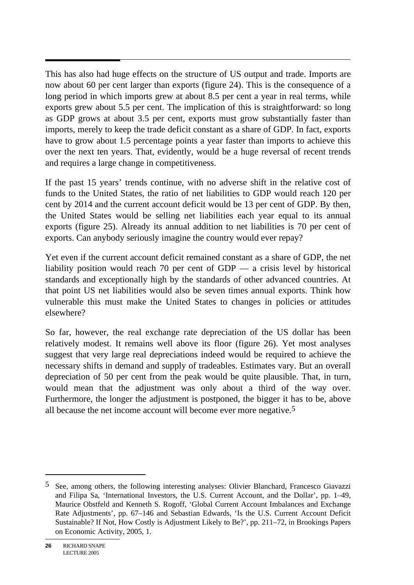$\overline{a}$ This has also had huge effects on the structure of US output and trade. Imports are now about 60 per cent larger than exports (figure 24). This is the consequence of a long period in which imports grew at about 8.5 per cent a year in real terms, while exports grew about 5.5 per cent. The implication of this is straightforward: so long as GDP grows at about 3.5 per cent, exports must grow substantially faster than imports, merely to keep the trade deficit constant as a share of GDP. In fact, exports have to grow about 1.5 percentage points a year faster than imports to achieve this over the next ten years. That, evidently, would be a huge reversal of recent trends and requires a large change in competitiveness.

If the past 15 years' trends continue, with no adverse shift in the relative cost of funds to the United States, the ratio of net liabilities to GDP would reach 120 per cent by 2014 and the current account deficit would be 13 per cent of GDP. By then, the United States would be selling net liabilities each year equal to its annual exports (figure 25). Already its annual addition to net liabilities is 70 per cent of exports. Can anybody seriously imagine the country would ever repay?

Yet even if the current account deficit remained constant as a share of GDP, the net liability position would reach 70 per cent of GDP — a crisis level by historical standards and exceptionally high by the standards of other advanced countries. At that point US net liabilities would also be seven times annual exports. Think how vulnerable this must make the United States to changes in policies or attitudes elsewhere?

So far, however, the real exchange rate depreciation of the US dollar has been relatively modest. It remains well above its floor (figure 26). Yet most analyses suggest that very large real depreciations indeed would be required to achieve the necessary shifts in demand and supply of tradeables. Estimates vary. But an overall depreciation of 50 per cent from the peak would be quite plausible. That, in turn, would mean that the adjustment was only about a third of the way over. Furthermore, the longer the adjustment is postponed, the bigger it has to be, above all because the net income account will become ever more negative.5

 $\overline{a}$ 

<sup>5</sup> See, among others, the following interesting analyses: Olivier Blanchard, Francesco Giavazzi and Filipa Sa, 'International Investors, the U.S. Current Account, and the Dollar', pp. 1–49, Maurice Obstfeld and Kenneth S. Rogoff, 'Global Current Account Imbalances and Exchange Rate Adjustments', pp. 67–146 and Sebastian Edwards, 'Is the U.S. Current Account Deficit Sustainable? If Not, How Costly is Adjustment Likely to Be?', pp. 211–72, in Brookings Papers on Economic Activity, 2005, 1.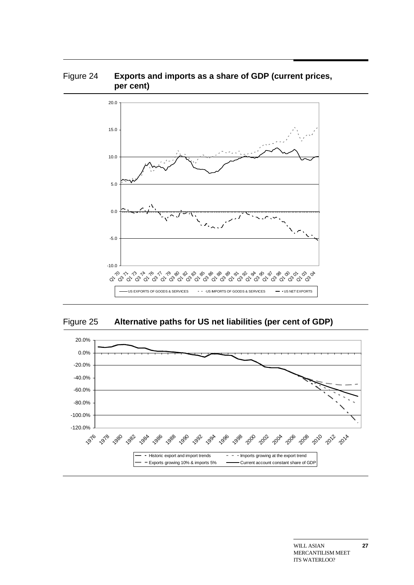



Figure 25 **Alternative paths for US net liabilities (per cent of GDP)** 

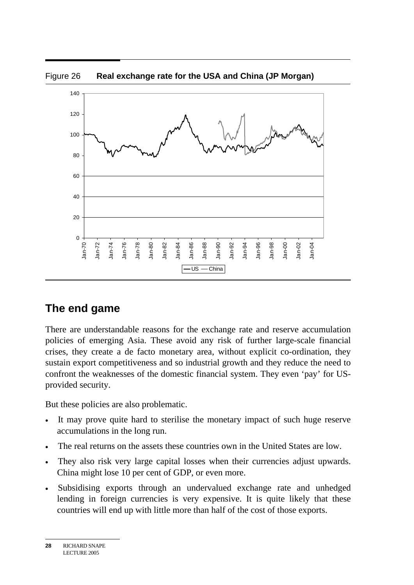

# **The end game**

There are understandable reasons for the exchange rate and reserve accumulation policies of emerging Asia. These avoid any risk of further large-scale financial crises, they create a de facto monetary area, without explicit co-ordination, they sustain export competitiveness and so industrial growth and they reduce the need to confront the weaknesses of the domestic financial system. They even 'pay' for USprovided security.

But these policies are also problematic.

- It may prove quite hard to sterilise the monetary impact of such huge reserve accumulations in the long run.
- The real returns on the assets these countries own in the United States are low.
- They also risk very large capital losses when their currencies adjust upwards. China might lose 10 per cent of GDP, or even more.
- Subsidising exports through an undervalued exchange rate and unhedged lending in foreign currencies is very expensive. It is quite likely that these countries will end up with little more than half of the cost of those exports.

**<sup>28</sup>** RICHARD SNAPE LECTURE 2005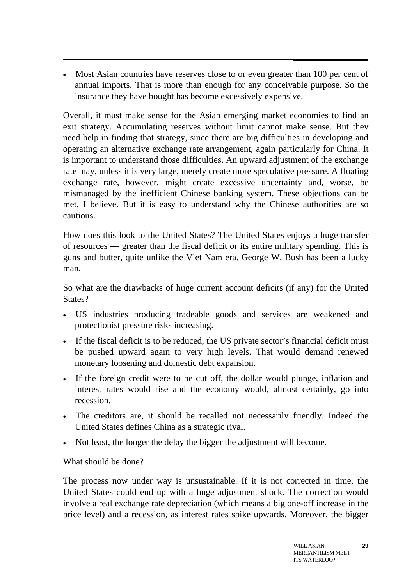• Most Asian countries have reserves close to or even greater than 100 per cent of annual imports. That is more than enough for any conceivable purpose. So the insurance they have bought has become excessively expensive.

Overall, it must make sense for the Asian emerging market economies to find an exit strategy. Accumulating reserves without limit cannot make sense. But they need help in finding that strategy, since there are big difficulties in developing and operating an alternative exchange rate arrangement, again particularly for China. It is important to understand those difficulties. An upward adjustment of the exchange rate may, unless it is very large, merely create more speculative pressure. A floating exchange rate, however, might create excessive uncertainty and, worse, be mismanaged by the inefficient Chinese banking system. These objections can be met, I believe. But it is easy to understand why the Chinese authorities are so cautious.

How does this look to the United States? The United States enjoys a huge transfer of resources — greater than the fiscal deficit or its entire military spending. This is guns and butter, quite unlike the Viet Nam era. George W. Bush has been a lucky man.

So what are the drawbacks of huge current account deficits (if any) for the United States?

- US industries producing tradeable goods and services are weakened and protectionist pressure risks increasing.
- If the fiscal deficit is to be reduced, the US private sector's financial deficit must be pushed upward again to very high levels. That would demand renewed monetary loosening and domestic debt expansion.
- If the foreign credit were to be cut off, the dollar would plunge, inflation and interest rates would rise and the economy would, almost certainly, go into recession.
- The creditors are, it should be recalled not necessarily friendly. Indeed the United States defines China as a strategic rival.
- Not least, the longer the delay the bigger the adjustment will become.

What should be done?

The process now under way is unsustainable. If it is not corrected in time, the United States could end up with a huge adjustment shock. The correction would involve a real exchange rate depreciation (which means a big one-off increase in the price level) and a recession, as interest rates spike upwards. Moreover, the bigger